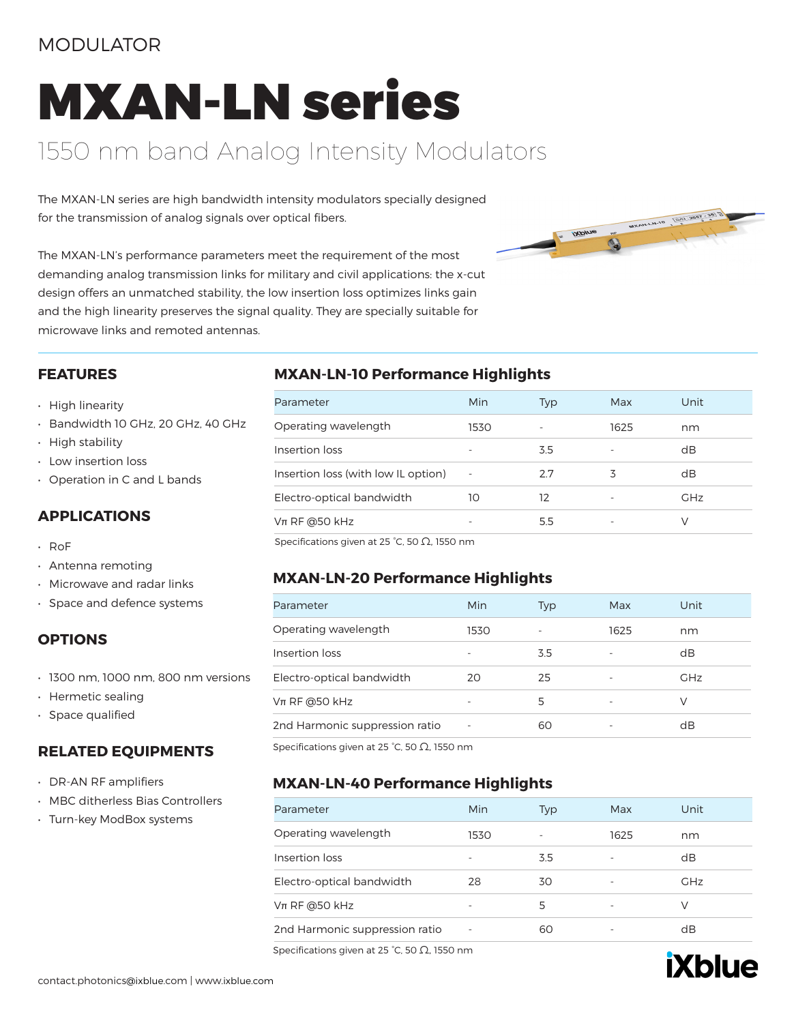### MODULATOR

# MXAN-LN series

### 1550 nm band Analog Intensity Modulators

The MXAN-LN series are high bandwidth intensity modulators specially designed for the transmission of analog signals over optical fibers.



The MXAN-LN's performance parameters meet the requirement of the most demanding analog transmission links for military and civil applications: the x-cut design offers an unmatched stability, the low insertion loss optimizes links gain and the high linearity preserves the signal quality. They are specially suitable for microwave links and remoted antennas.

#### **FEATURES**

- High linearity
- Bandwidth 10 GHz, 20 GHz, 40 GHz
- High stability
- Low insertion loss
- Operation in C and L bands

### **APPLICATIONS**

- RoF
- Antenna remoting
- Microwave and radar links
- Space and defence systems

### **OPTIONS**

- 1300 nm, 1000 nm, 800 nm versions
- Hermetic sealing
- Space qualified

### **RELATED EQUIPMENTS**

- DR-AN RF amplifiers
- MBC ditherless Bias Controllers
- Turn-key ModBox systems

### **MXAN-LN-10 Performance Highlights**

| Parameter                           | Min                      | Typ | Max  | Unit       |
|-------------------------------------|--------------------------|-----|------|------------|
| Operating wavelength                | 1530                     |     | 1625 | nm         |
| Insertion loss                      | $\overline{\phantom{0}}$ | 3.5 | ٠    | dB         |
| Insertion loss (with low IL option) | $\sim$                   | 2.7 | 3    | dB         |
| Electro-optical bandwidth           | 10                       | 12  |      | <b>GHz</b> |
| $Vπ$ RF @50 kHz                     | -                        | 55  |      | V          |
|                                     |                          |     |      |            |

Specifications given at 25 °C, 50 Ω, 1550 nm

### **MXAN-LN-20 Performance Highlights**

| Parameter                      | Min  | Typ | Max  | Unit       |
|--------------------------------|------|-----|------|------------|
| Operating wavelength           | 1530 |     | 1625 | nm         |
| Insertion loss                 |      | 3.5 |      | dB         |
| Electro-optical bandwidth      | 20   | 25  |      | <b>GHz</b> |
| $Vπ$ RF @50 kHz                |      | 5   |      | V          |
| 2nd Harmonic suppression ratio |      | 60  |      | dB         |
|                                |      |     |      |            |

Specifications given at 25 °C, 50  $Ω$ , 1550 nm

### **MXAN-LN-40 Performance Highlights**

| Parameter                      | Min  | <b>Typ</b> | Max  | Unit       |
|--------------------------------|------|------------|------|------------|
| Operating wavelength           | 1530 |            | 1625 | nm         |
| Insertion loss                 |      | 3.5        |      | dB         |
| Electro-optical bandwidth      | 28   | 30         |      | <b>GHz</b> |
| $Vπ$ RF @50 kHz                |      | 5.         |      | V          |
| 2nd Harmonic suppression ratio | ٠    | 60         |      | dB         |

Specifications given at 25 °C, 50 Ω, 1550 nm

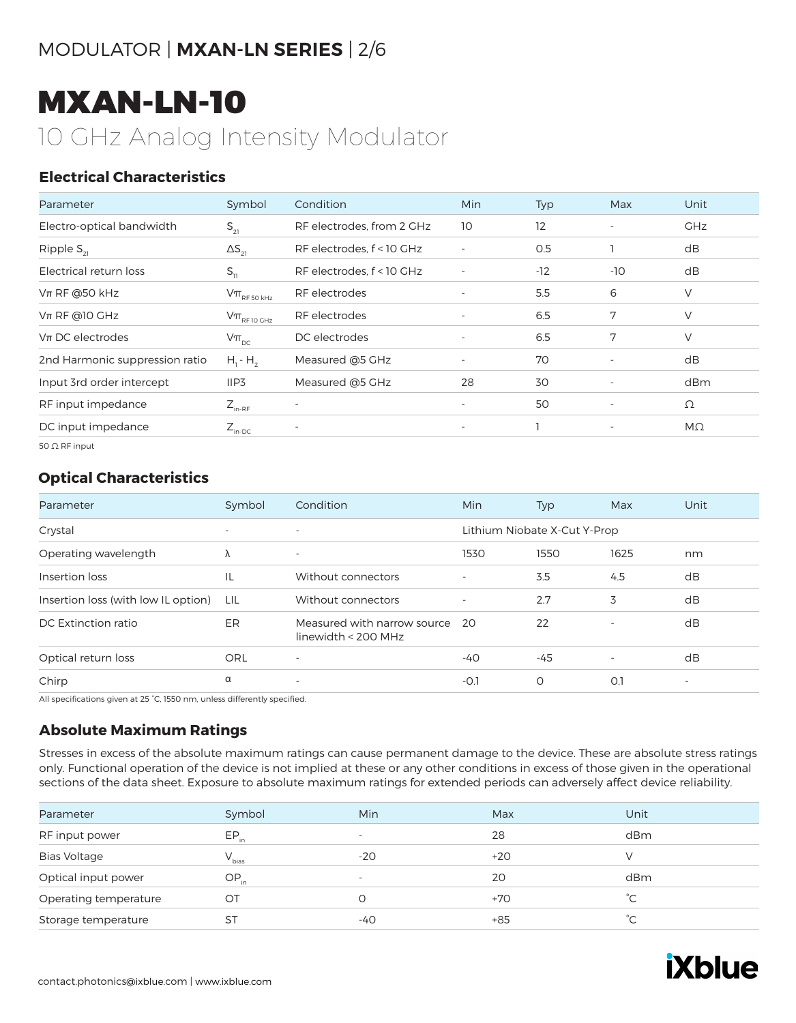## MXAN-LN-10 10 GHz Analog Intensity Modulator

### **Electrical Characteristics**

| Parameter                      | Symbol                                                                              | Condition                 | Min                      | Typ   | Max                      | Unit       |
|--------------------------------|-------------------------------------------------------------------------------------|---------------------------|--------------------------|-------|--------------------------|------------|
| Electro-optical bandwidth      | $S_{21}$                                                                            | RF electrodes, from 2 GHz | 10                       | 12    | $\sim$                   | <b>GHz</b> |
| Ripple $S_{21}$                | $\Delta S_{21}$                                                                     | RF electrodes, f < 10 GHz |                          | 0.5   |                          | dB         |
| Electrical return loss         | $S_{11}$                                                                            | RF electrodes, f < 10 GHz | $\overline{\phantom{a}}$ | $-12$ | -10                      | dB         |
| $Vπ$ RF @50 kHz                | $\mathsf{V}\pi_{\scriptscriptstyle\mathrm{RF}\,50\,\scriptscriptstyle\mathrm{kHz}}$ | RF electrodes             | $\overline{\phantom{a}}$ | 5.5   | 6                        | V          |
| $Vπ$ RF @10 GHz                | $\mathsf{V}\pi_{\scriptscriptstyle\mathrm{RF}\, \mathrm{10}\, \mathrm{GHz}}$        | RF electrodes             | $\overline{\phantom{a}}$ | 6.5   | 7                        | V          |
| $Vπ$ DC electrodes             | $V\pi_{\text{pc}}$                                                                  | DC electrodes             | $\overline{\phantom{a}}$ | 6.5   | 7                        | V          |
| 2nd Harmonic suppression ratio | $H_1 - H_2$                                                                         | Measured @5 GHz           | $\overline{\phantom{a}}$ | 70    | $\overline{\phantom{a}}$ | dB         |
| Input 3rd order intercept      | IIP3                                                                                | Measured @5 GHz           | 28                       | 30    |                          | dBm        |
| RF input impedance             | $Z_{_{\text{in-RF}}}$                                                               | $\overline{\phantom{a}}$  | $\sim$                   | 50    | $\overline{\phantom{a}}$ | Ω          |
| DC input impedance             | $Z_{\text{in-DC}}$                                                                  | $\overline{\phantom{a}}$  | $\sim$                   |       | $\overline{\phantom{a}}$ | $M\Omega$  |
| 50 $\Omega$ RF input           |                                                                                     |                           |                          |       |                          |            |

### **Optical Characteristics**

| Parameter                           | Symbol                   | Condition                                          | Min                      | Typ                          | Max                      | Unit                     |
|-------------------------------------|--------------------------|----------------------------------------------------|--------------------------|------------------------------|--------------------------|--------------------------|
| Crystal                             | $\overline{\phantom{a}}$ | $\overline{\phantom{0}}$                           |                          | Lithium Niobate X-Cut Y-Prop |                          |                          |
| Operating wavelength                | Λ                        | $\overline{\phantom{a}}$                           | 1530                     | 1550                         | 1625                     | nm                       |
| Insertion loss                      | IL                       | Without connectors                                 |                          | 3.5                          | 4.5                      | dB                       |
| Insertion loss (with low IL option) | LIL                      | Without connectors                                 | $\overline{\phantom{a}}$ | 2.7                          | 3                        | dB                       |
| DC Extinction ratio                 | ER.                      | Measured with narrow source<br>linewidth < 200 MHz | -20                      | 22                           | $\overline{\phantom{a}}$ | dB                       |
| Optical return loss                 | <b>ORL</b>               | $\overline{\phantom{a}}$                           | $-40$                    | -45                          | $\overline{\phantom{a}}$ | dB                       |
| Chirp                               | α                        | $\sim$                                             | $-0.1$                   | O                            | O.1                      | $\overline{\phantom{a}}$ |

All specifications given at 25 °C, 1550 nm, unless differently specified.

### **Absolute Maximum Ratings**

Stresses in excess of the absolute maximum ratings can cause permanent damage to the device. These are absolute stress ratings only. Functional operation of the device is not implied at these or any other conditions in excess of those given in the operational sections of the data sheet. Exposure to absolute maximum ratings for extended periods can adversely affect device reliability.

| Parameter             | Symbol     | Min                      | Max   | Unit         |
|-----------------------|------------|--------------------------|-------|--------------|
| RF input power        | $EP_{in}$  | $\overline{\phantom{a}}$ | 28    | dBm          |
| <b>Bias Voltage</b>   | $V_{bias}$ | $-20$                    | $+20$ |              |
| Optical input power   | $OP_{in}$  | $\overline{\phantom{a}}$ | 20    | dBm          |
| Operating temperature | OТ         |                          | $+70$ | °C           |
| Storage temperature   | ST         | -40                      | $+85$ | $^{\circ}$ C |
|                       |            |                          |       |              |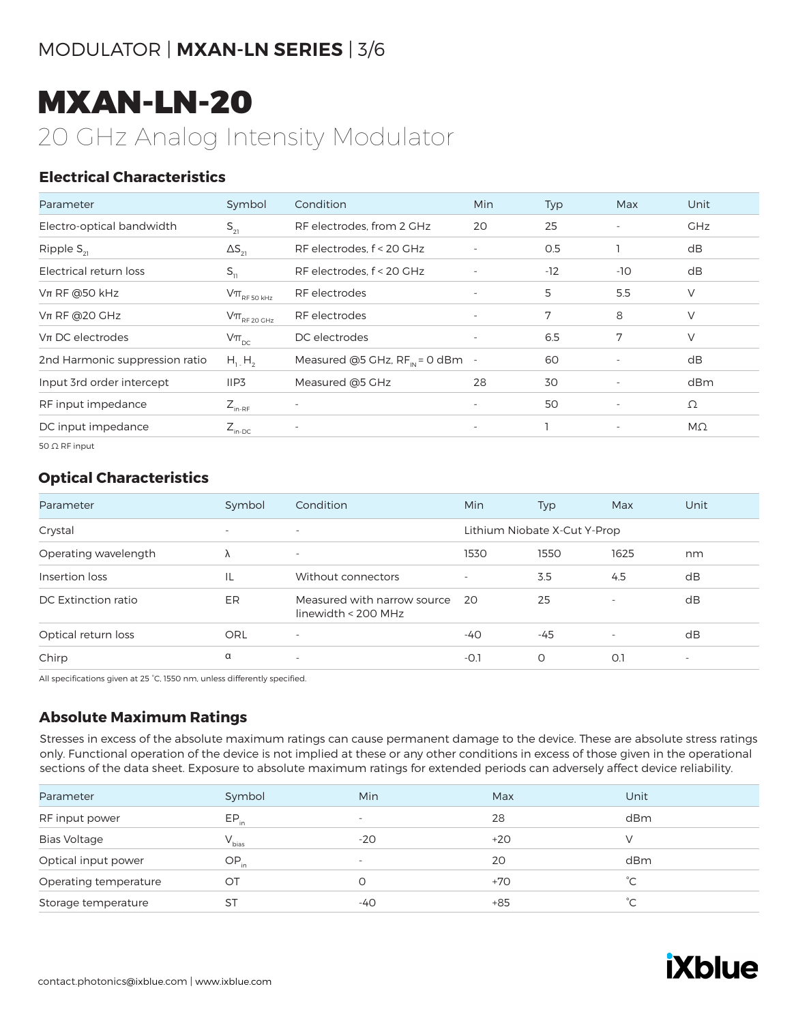## MXAN-LN-20 20 GHz Analog Intensity Modulator

### **Electrical Characteristics**

| Parameter                      | Symbol                                                                                                | Condition                            | <b>Min</b>               | Typ   | Max                      | Unit       |
|--------------------------------|-------------------------------------------------------------------------------------------------------|--------------------------------------|--------------------------|-------|--------------------------|------------|
| Electro-optical bandwidth      | $S_{21}$                                                                                              | RF electrodes, from 2 GHz            | 20                       | 25    | $\overline{\phantom{a}}$ | <b>GHz</b> |
| Ripple $S_{21}$                | $\Delta S_{21}$                                                                                       | RF electrodes, f < 20 GHz            |                          | O.5   |                          | dB         |
| Electrical return loss         | $S_{11}$                                                                                              | RF electrodes, f < 20 GHz            | $\overline{\phantom{a}}$ | $-12$ | $-10$                    | dB         |
| $Vπ$ RF @50 kHz                | $\mathsf{V}\pi_{\scriptscriptstyle\mathrm{RF}\,50\,\scriptscriptstyle\mathrm{K}\mathrm{H}\mathrm{Z}}$ | RF electrodes                        | $\overline{\phantom{a}}$ | 5     | 5.5                      | V          |
| $Vπ$ RF @20 GHz                | $\rm V\pi_{_{RF\,20\,GHz}}$                                                                           | RF electrodes                        | $\overline{\phantom{a}}$ | 7     | 8                        | V          |
| $Vπ$ DC electrodes             | $V\pi_{\text{pc}}$                                                                                    | DC electrodes                        | $\overline{\phantom{a}}$ | 6.5   | 7                        | $\vee$     |
| 2nd Harmonic suppression ratio | $H_1$ , $H_2$                                                                                         | Measured @5 GHz, $RF_{in} = 0$ dBm - |                          | 60    | $\overline{\phantom{a}}$ | dB         |
| Input 3rd order intercept      | IIP <sub>3</sub>                                                                                      | Measured @5 GHz                      | 28                       | 30    | $\overline{\phantom{a}}$ | dBm        |
| RF input impedance             | $Z_{_{\text{in-RF}}}$                                                                                 | $\overline{\phantom{a}}$             | $\overline{\phantom{a}}$ | 50    | $\overline{\phantom{a}}$ | Ω          |
| DC input impedance             | $Z_{\text{in-DC}}$                                                                                    | $\overline{\phantom{a}}$             | $\overline{\phantom{a}}$ |       | $\overline{\phantom{a}}$ | $M\Omega$  |
| 50 $\Omega$ RF input           |                                                                                                       |                                      |                          |       |                          |            |

### **Optical Characteristics**

| Parameter            | Symbol                   | Condition                                            | <b>Min</b>               | Typ                          | Max                      | Unit                     |
|----------------------|--------------------------|------------------------------------------------------|--------------------------|------------------------------|--------------------------|--------------------------|
| Crystal              | $\overline{\phantom{a}}$ | $\overline{\phantom{0}}$                             |                          | Lithium Niobate X-Cut Y-Prop |                          |                          |
| Operating wavelength | λ                        | $\overline{\phantom{0}}$                             | 1530                     | 1550                         | 1625                     | nm                       |
| Insertion loss       | IL                       | Without connectors                                   | $\overline{\phantom{a}}$ | 3.5                          | 4.5                      | dB                       |
| DC Extinction ratio  | ER                       | Measured with narrow source<br>linewidth $<$ 200 MHz | - 20                     | 25                           |                          | dB                       |
| Optical return loss  | ORL                      | $\overline{\phantom{a}}$                             | -40                      | $-45$                        | $\overline{\phantom{a}}$ | dB                       |
| Chirp                | α                        | $\overline{\phantom{0}}$                             | $-0.1$                   | O                            | O.1                      | $\overline{\phantom{a}}$ |

All specifications given at 25 °C, 1550 nm, unless differently specified.

### **Absolute Maximum Ratings**

Stresses in excess of the absolute maximum ratings can cause permanent damage to the device. These are absolute stress ratings only. Functional operation of the device is not implied at these or any other conditions in excess of those given in the operational sections of the data sheet. Exposure to absolute maximum ratings for extended periods can adversely affect device reliability.

| Parameter             | Symbol     | Min                      | Max   | Unit         |
|-----------------------|------------|--------------------------|-------|--------------|
| RF input power        | $EP_{in}$  | $\overline{\phantom{0}}$ | 28    | dBm          |
| <b>Bias Voltage</b>   | $V_{bias}$ | $-20$                    | $+20$ |              |
| Optical input power   | $OP_{in}$  | $\overline{\phantom{a}}$ | 20    | dBm          |
| Operating temperature | ОT         |                          | $+70$ | $^{\circ}C$  |
| Storage temperature   | ST         | -40                      | $+85$ | $^{\circ}$ C |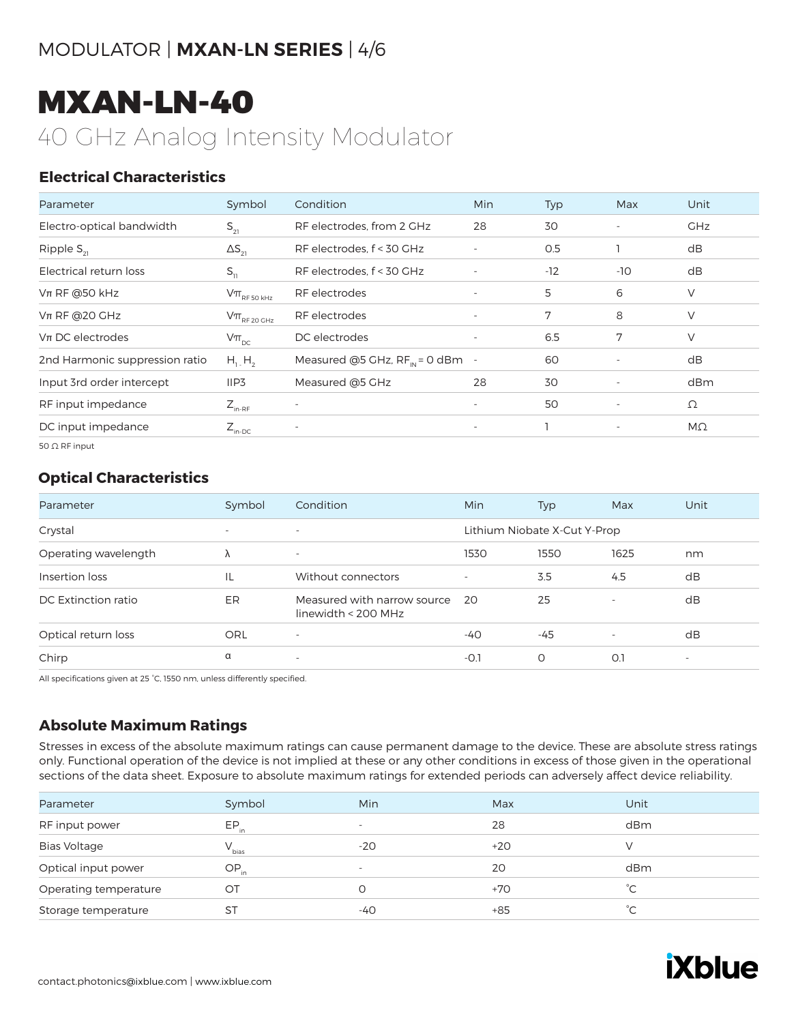# MXAN-LN-40

40 GHz Analog Intensity Modulator

### **Electrical Characteristics**

| Parameter                      | Symbol                                                                              | Condition                            | <b>Min</b>               | Typ   | Max                      | Unit       |
|--------------------------------|-------------------------------------------------------------------------------------|--------------------------------------|--------------------------|-------|--------------------------|------------|
| Electro-optical bandwidth      | $S_{21}$                                                                            | RF electrodes, from 2 GHz            | 28                       | 30    | $\overline{\phantom{a}}$ | <b>GHz</b> |
| Ripple $S_{21}$                | $\Delta S_{21}$                                                                     | RF electrodes, f < 30 GHz            | $\overline{\phantom{m}}$ | O.5   |                          | dB         |
| Electrical return loss         | $S_{11}$                                                                            | RF electrodes, f < 30 GHz            |                          | $-12$ | $-10$                    | dB         |
| $Vπ$ RF @50 kHz                | $\mathsf{V}\pi_{\scriptscriptstyle\mathrm{RF}\,50\,\scriptscriptstyle\mathrm{KHZ}}$ | RF electrodes                        | $\overline{\phantom{a}}$ | 5     | 6                        | $\vee$     |
| $Vπ$ RF @20 GHz                | $\mathsf{V}\pi_{\scriptscriptstyle\mathrm{RF}\,20\,\mathrm{GHz}}$                   | RF electrodes                        | $\overline{\phantom{a}}$ | 7     | 8                        | V          |
| $Vπ$ DC electrodes             | $V\pi_{\text{pc}}$                                                                  | DC electrodes                        | $\overline{\phantom{a}}$ | 6.5   | 7                        | $\vee$     |
| 2nd Harmonic suppression ratio | $H_1$ , $H_2$                                                                       | Measured @5 GHz, $RF_{IN} = 0$ dBm - |                          | 60    |                          | dB         |
| Input 3rd order intercept      | IIP3                                                                                | Measured @5 GHz                      | 28                       | 30    | $\overline{\phantom{a}}$ | dBm        |
| RF input impedance             | $Z_{\text{in-RF}}$                                                                  | $\overline{\phantom{a}}$             | $\overline{\phantom{a}}$ | 50    | $\overline{\phantom{a}}$ | Ω          |
| DC input impedance             | $Z_{\text{in-DC}}$                                                                  | $\overline{\phantom{a}}$             | $\overline{\phantom{a}}$ |       | $\overline{\phantom{a}}$ | $M\Omega$  |
| 50 $\Omega$ RF input           |                                                                                     |                                      |                          |       |                          |            |

### **Optical Characteristics**

| Parameter            | Symbol                   | Condition                                          | <b>Min</b>               | Typ                          | Max                      | Unit                     |
|----------------------|--------------------------|----------------------------------------------------|--------------------------|------------------------------|--------------------------|--------------------------|
| Crystal              | $\overline{\phantom{a}}$ | $\overline{\phantom{0}}$                           |                          | Lithium Niobate X-Cut Y-Prop |                          |                          |
| Operating wavelength | Λ                        | $\overline{\phantom{a}}$                           | 1530                     | 1550                         | 1625                     | nm                       |
| Insertion loss       | IL                       | Without connectors                                 | $\overline{\phantom{a}}$ | 3.5                          | 4.5                      | dB                       |
| DC Extinction ratio  | ER                       | Measured with narrow source<br>linewidth < 200 MHz | - 20                     | 25                           | $\overline{\phantom{a}}$ | dB                       |
| Optical return loss  | ORL                      | $\overline{\phantom{a}}$                           | $-40$                    | $-45$                        | $\overline{\phantom{a}}$ | dB                       |
| Chirp                | α                        | $\overline{\phantom{0}}$                           | $-O.1$                   | O                            | O.1                      | $\overline{\phantom{a}}$ |

All specifications given at 25 °C, 1550 nm, unless differently specified.

### **Absolute Maximum Ratings**

Stresses in excess of the absolute maximum ratings can cause permanent damage to the device. These are absolute stress ratings only. Functional operation of the device is not implied at these or any other conditions in excess of those given in the operational sections of the data sheet. Exposure to absolute maximum ratings for extended periods can adversely affect device reliability.

| Parameter             | Symbol     | <b>Min</b>               | Max   | Unit         |
|-----------------------|------------|--------------------------|-------|--------------|
| RF input power        | $EP_{in}$  | $\overline{\phantom{a}}$ | 28    | dBm          |
| <b>Bias Voltage</b>   | $V_{bias}$ | $-20$                    | $+20$ | $\sqrt{}$    |
| Optical input power   | $OP_{in}$  | $\overline{\phantom{a}}$ | 20    | dBm          |
| Operating temperature | ОT         |                          | $+70$ | °С           |
| Storage temperature   | <b>ST</b>  | $-40$                    | $+85$ | $^{\circ}$ C |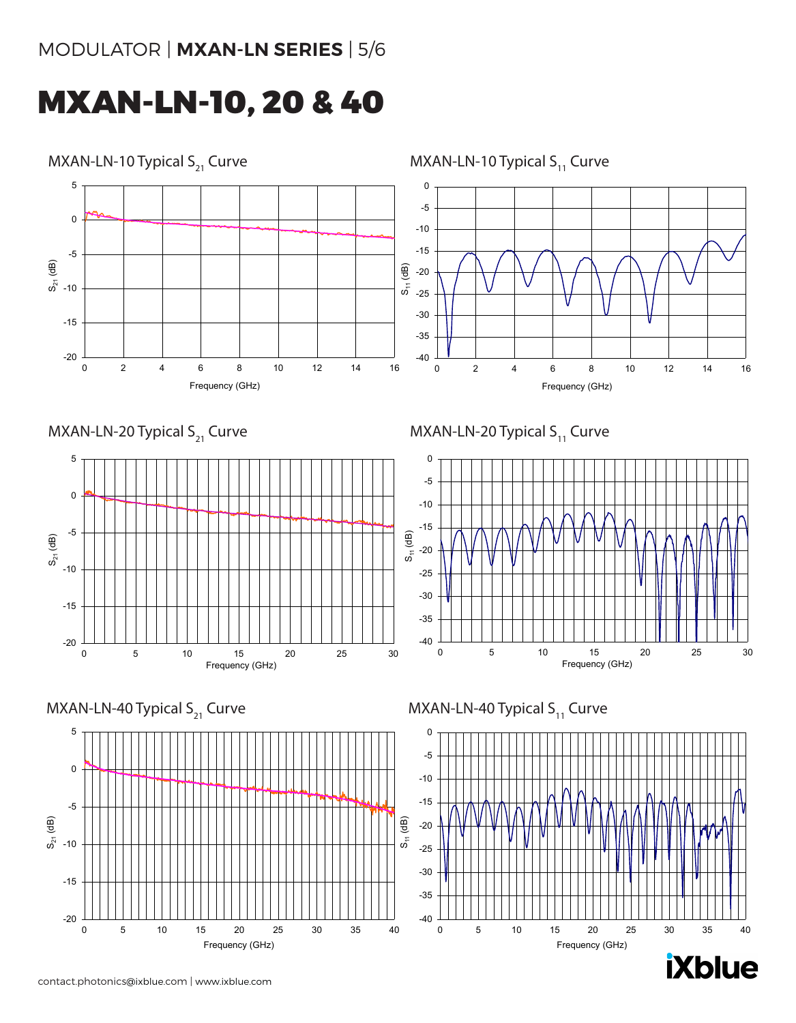### MXAN-LN-10, 20 & 40